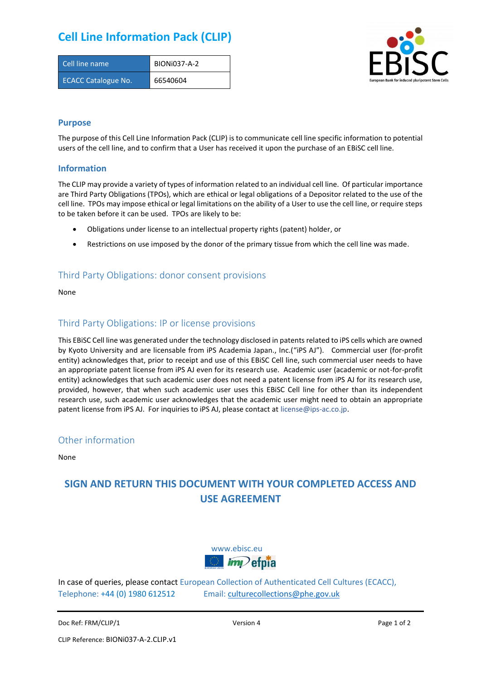## **Cell Line Information Pack (CLIP)**

| Cell line name             | BIONI037-A-2 |
|----------------------------|--------------|
| <b>ECACC Catalogue No.</b> | 66540604     |



#### **Purpose**

The purpose of this Cell Line Information Pack (CLIP) is to communicate cell line specific information to potential users of the cell line, and to confirm that a User has received it upon the purchase of an EBiSC cell line.

#### **Information**

The CLIP may provide a variety of types of information related to an individual cell line. Of particular importance are Third Party Obligations (TPOs), which are ethical or legal obligations of a Depositor related to the use of the cell line. TPOs may impose ethical or legal limitations on the ability of a User to use the cell line, or require steps to be taken before it can be used. TPOs are likely to be:

- Obligations under license to an intellectual property rights (patent) holder, or
- Restrictions on use imposed by the donor of the primary tissue from which the cell line was made.

#### Third Party Obligations: donor consent provisions

None

#### Third Party Obligations: IP or license provisions

This EBiSC Cell line was generated under the technology disclosed in patents related to iPS cells which are owned by Kyoto University and are licensable from iPS Academia Japan., Inc.("iPS AJ"). Commercial user (for-profit entity) acknowledges that, prior to receipt and use of this EBiSC Cell line, such commercial user needs to have an appropriate patent license from iPS AJ even for its research use. Academic user (academic or not-for-profit entity) acknowledges that such academic user does not need a patent license from iPS AJ for its research use, provided, however, that when such academic user uses this EBiSC Cell line for other than its independent research use, such academic user acknowledges that the academic user might need to obtain an appropriate patent license from iPS AJ. For inquiries to iPS AJ, please contact at [license@ips-ac.co.jp.](mailto:license@ips-ac.co.jp)

#### Other information

None

### **SIGN AND RETURN THIS DOCUMENT WITH YOUR COMPLETED ACCESS AND USE AGREEMENT**



In case of queries, please contact European Collection of Authenticated Cell Cultures (ECACC), Telephone: +44 (0) 1980 612512 Email: [culturecollections@phe.gov.uk](mailto:culturecollections@phe.gov.uk)

Doc Ref: FRM/CLIP/1 **Docessition 2** Page 1 of 2